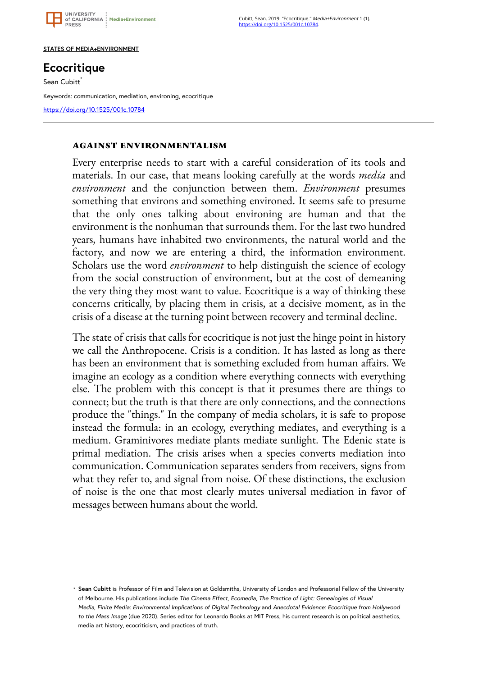

Cubitt, Sean. 2019. "Ecocritique." Media+Environment 1 (1). <https://doi.org/10.1525/001c.10784>.

### **STATES OF MEDIA+ENVIRONMENT**

# **Ecocritique**

Sean Cubitt<sup>\*</sup>

Keywords: communication, mediation, environing, ecocritique

## **against environmentalism**

Every enterprise needs to start with a careful consideration of its tools and materials. In our case, that means looking carefully at the words *media* and *environment* and the conjunction between them. *Environment* presumes something that environs and something environed. It seems safe to presume that the only ones talking about environing are human and that the environment is the nonhuman that surrounds them. For the last two hundred years, humans have inhabited two environments, the natural world and the factory, and now we are entering a third, the information environment. Scholars use the word *environment* to help distinguish the science of ecology from the social construction of environment, but at the cost of demeaning the very thing they most want to value. Ecocritique is a way of thinking these concerns critically, by placing them in crisis, at a decisive moment, as in the crisis of a disease at the turning point between recovery and terminal decline.

The state of crisis that calls for ecocritique is not just the hinge point in history we call the Anthropocene. Crisis is a condition. It has lasted as long as there has been an environment that is something excluded from human affairs. We imagine an ecology as a condition where everything connects with everything else. The problem with this concept is that it presumes there are things to connect; but the truth is that there are only connections, and the connections produce the "things." In the company of media scholars, it is safe to propose instead the formula: in an ecology, everything mediates, and everything is a medium. Graminivores mediate plants mediate sunlight. The Edenic state is primal mediation. The crisis arises when a species converts mediation into communication. Communication separates senders from receivers, signs from what they refer to, and signal from noise. Of these distinctions, the exclusion of noise is the one that most clearly mutes universal mediation in favor of messages between humans about the world.

**Sean Cubitt** is Professor of Film and Television at Goldsmiths, University of London and Professorial Fellow of the University \* of Melbourne. His publications include *The Cinema Effect, Ecomedia, The Practice of Light: Genealogies of Visual Media*, *Finite Media: Environmental Implications of Digital Technology* and *Anecdotal Evidence: Ecocritique from Hollywood to the Mass Image* (due 2020). Series editor for Leonardo Books at MIT Press, his current research is on political aesthetics, media art history, ecocriticism, and practices of truth.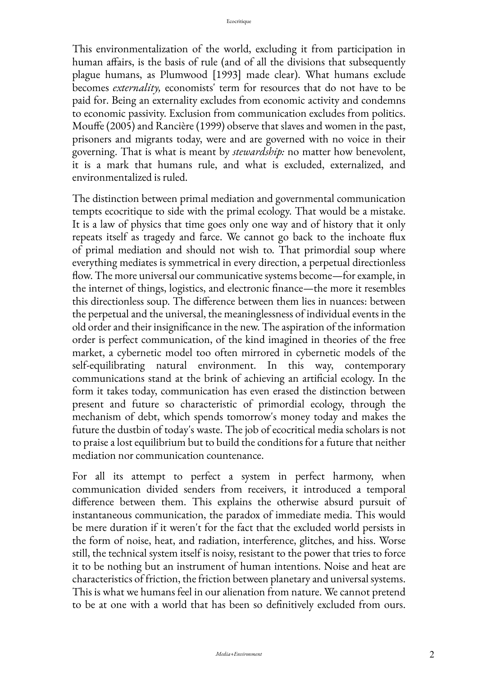This environmentalization of the world, excluding it from participation in human affairs, is the basis of rule (and of all the divisions that subsequently plague humans, as Plumwood [1993] made clear). What humans exclude becomes *externality,* economists' term for resources that do not have to be paid for. Being an externality excludes from economic activity and condemns to economic passivity. Exclusion from communication excludes from politics. Mouffe (2005) and Rancière (1999) observe that slaves and women in the past, prisoners and migrants today, were and are governed with no voice in their governing. That is what is meant by *stewardship:* no matter how benevolent, it is a mark that humans rule, and what is excluded, externalized, and environmentalized is ruled.

The distinction between primal mediation and governmental communication tempts ecocritique to side with the primal ecology. That would be a mistake. It is a law of physics that time goes only one way and of history that it only repeats itself as tragedy and farce. We cannot go back to the inchoate flux of primal mediation and should not wish to. That primordial soup where everything mediates is symmetrical in every direction, a perpetual directionless flow. The more universal our communicative systems become—for example, in the internet of things, logistics, and electronic finance—the more it resembles this directionless soup. The difference between them lies in nuances: between the perpetual and the universal, the meaninglessness of individual events in the old order and their insignificance in the new. The aspiration of the information order is perfect communication, of the kind imagined in theories of the free market, a cybernetic model too often mirrored in cybernetic models of the self-equilibrating natural environment. In this way, contemporary communications stand at the brink of achieving an artificial ecology. In the form it takes today, communication has even erased the distinction between present and future so characteristic of primordial ecology, through the mechanism of debt, which spends tomorrow's money today and makes the future the dustbin of today's waste. The job of ecocritical media scholars is not to praise a lost equilibrium but to build the conditions for a future that neither mediation nor communication countenance.

For all its attempt to perfect a system in perfect harmony, when communication divided senders from receivers, it introduced a temporal difference between them. This explains the otherwise absurd pursuit of instantaneous communication, the paradox of immediate media. This would be mere duration if it weren't for the fact that the excluded world persists in the form of noise, heat, and radiation, interference, glitches, and hiss. Worse still, the technical system itself is noisy, resistant to the power that tries to force it to be nothing but an instrument of human intentions. Noise and heat are characteristics of friction, the friction between planetary and universal systems. This is what we humans feel in our alienation from nature. We cannot pretend to be at one with a world that has been so definitively excluded from ours.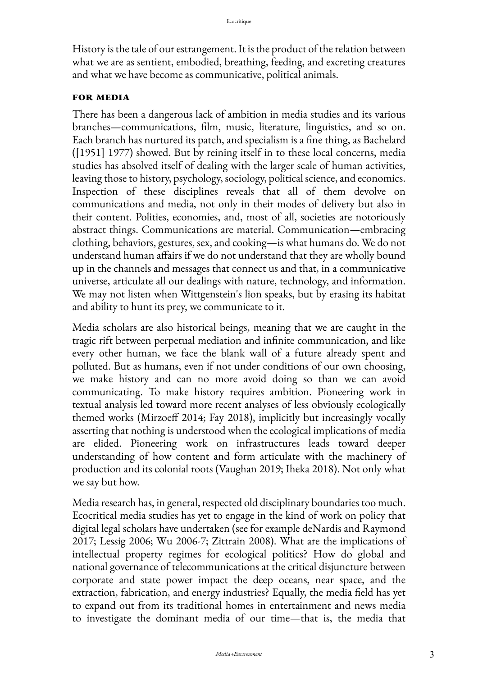History is the tale of our estrangement. It is the product of the relation between what we are as sentient, embodied, breathing, feeding, and excreting creatures and what we have become as communicative, political animals.

# **for media**

There has been a dangerous lack of ambition in media studies and its various branches—communications, film, music, literature, linguistics, and so on. Each branch has nurtured its patch, and specialism is a fine thing, as Bachelard ([1951] 1977) showed. But by reining itself in to these local concerns, media studies has absolved itself of dealing with the larger scale of human activities, leaving those to history, psychology, sociology, political science, and economics. Inspection of these disciplines reveals that all of them devolve on communications and media, not only in their modes of delivery but also in their content. Polities, economies, and, most of all, societies are notoriously abstract things. Communications are material. Communication—embracing clothing, behaviors, gestures, sex, and cooking—is what humans do. We do not understand human affairs if we do not understand that they are wholly bound up in the channels and messages that connect us and that, in a communicative universe, articulate all our dealings with nature, technology, and information. We may not listen when Wittgenstein's lion speaks, but by erasing its habitat and ability to hunt its prey, we communicate to it.

Media scholars are also historical beings, meaning that we are caught in the tragic rift between perpetual mediation and infinite communication, and like every other human, we face the blank wall of a future already spent and polluted. But as humans, even if not under conditions of our own choosing, we make history and can no more avoid doing so than we can avoid communicating. To make history requires ambition. Pioneering work in textual analysis led toward more recent analyses of less obviously ecologically themed works (Mirzoeff 2014; Fay 2018), implicitly but increasingly vocally asserting that nothing is understood when the ecological implications of media are elided. Pioneering work on infrastructures leads toward deeper understanding of how content and form articulate with the machinery of production and its colonial roots (Vaughan 2019; Iheka 2018). Not only what we say but how.

Media research has, in general, respected old disciplinary boundaries too much. Ecocritical media studies has yet to engage in the kind of work on policy that digital legal scholars have undertaken (see for example deNardis and Raymond 2017; Lessig 2006; Wu 2006-7; Zittrain 2008). What are the implications of intellectual property regimes for ecological politics? How do global and national governance of telecommunications at the critical disjuncture between corporate and state power impact the deep oceans, near space, and the extraction, fabrication, and energy industries? Equally, the media field has yet to expand out from its traditional homes in entertainment and news media to investigate the dominant media of our time—that is, the media that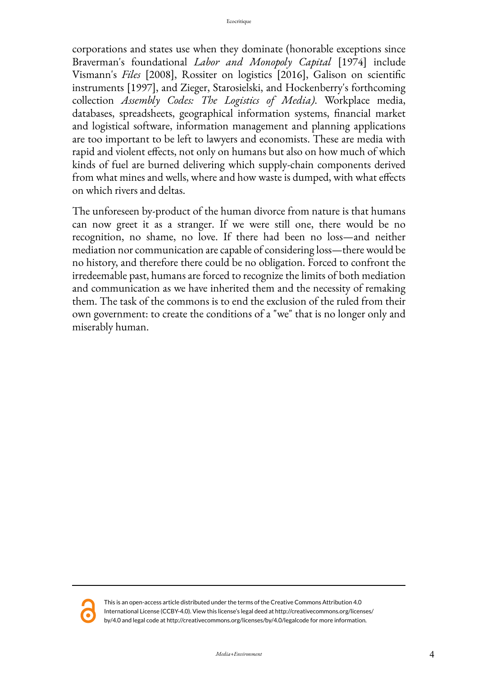corporations and states use when they dominate (honorable exceptions since Braverman's foundational *Labor and Monopoly Capital* [1974] include Vismann's *Files* [2008], Rossiter on logistics [2016], Galison on scientific instruments [1997], and Zieger, Starosielski, and Hockenberry's forthcoming collection *Assembly Codes: The Logistics of Media)*. Workplace media, databases, spreadsheets, geographical information systems, financial market and logistical software, information management and planning applications are too important to be left to lawyers and economists. These are media with rapid and violent effects, not only on humans but also on how much of which kinds of fuel are burned delivering which supply-chain components derived from what mines and wells, where and how waste is dumped, with what effects on which rivers and deltas.

The unforeseen by-product of the human divorce from nature is that humans can now greet it as a stranger. If we were still one, there would be no recognition, no shame, no love. If there had been no loss—and neither mediation nor communication are capable of considering loss—there would be no history, and therefore there could be no obligation. Forced to confront the irredeemable past, humans are forced to recognize the limits of both mediation and communication as we have inherited them and the necessity of remaking them. The task of the commons is to end the exclusion of the ruled from their own government: to create the conditions of a "we" that is no longer only and miserably human.



This is an open-access article distributed under the terms of the Creative Commons Attribution 4.0 International License (CCBY-4.0). View this license's legal deed at http://creativecommons.org/licenses/ by/4.0 and legal code at http://creativecommons.org/licenses/by/4.0/legalcode for more information.